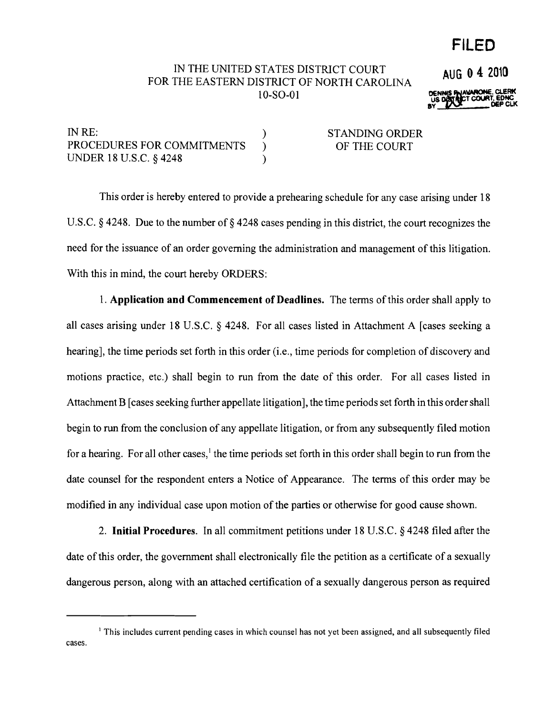# **FILED**

**AUG 0 4 2010**

### IN THE UNITED STATES DISTRICT COURT FOR THE EASTERN DISTRICT OF NORTH CAROLINA 10-S0-01

DE~VNlONE. **C1.ERt< us** <sup>T</sup> COURT. **eONC** BY **I/W** DEP CLK

| IN RE:                     | <b>STANDING ORDER</b> |
|----------------------------|-----------------------|
| PROCEDURES FOR COMMITMENTS | OF THE COURT          |
| UNDER 18 U.S.C. § 4248     |                       |

This order is hereby entered to provide a prehearing schedule for any case arising under 18 U.S.C. § 4248. Due to the number of § 4248 cases pending in this district, the court recognizes the need for the issuance of an order governing the administration and management of this litigation. With this in mind, the court hereby ORDERS:

1. **Application and Commencement of Deadlines.** The terms ofthis order shall apply to all cases arising under 18 U.S.C. § 4248. For all cases listed in Attachment A [cases seeking a hearing], the time periods set forth in this order (i.e., time periods for completion of discovery and motions practice, etc.) shall begin to run from the date of this order. For all cases listed in Attachment B [cases seeking further appellate litigation], the time periods set forth in this ordershall begin to run from the conclusion of any appellate litigation, or from any subsequently filed motion for a hearing. For all other cases,<sup>1</sup> the time periods set forth in this order shall begin to run from the date counsel for the respondent enters a Notice of Appearance. The terms of this order may be modified in any individual case upon motion of the parties or otherwise for good cause shown.

2. **Initial Procedures.** In all commitment petitions under 18 U.S.C. § 4248 filed after the date of this order, the government shall electronically file the petition as a certificate of a sexually dangerous person, along with an attached certification of a sexually dangerous person as required

<sup>&</sup>lt;sup>1</sup> This includes current pending cases in which counsel has not yet been assigned, and all subsequently filed cases.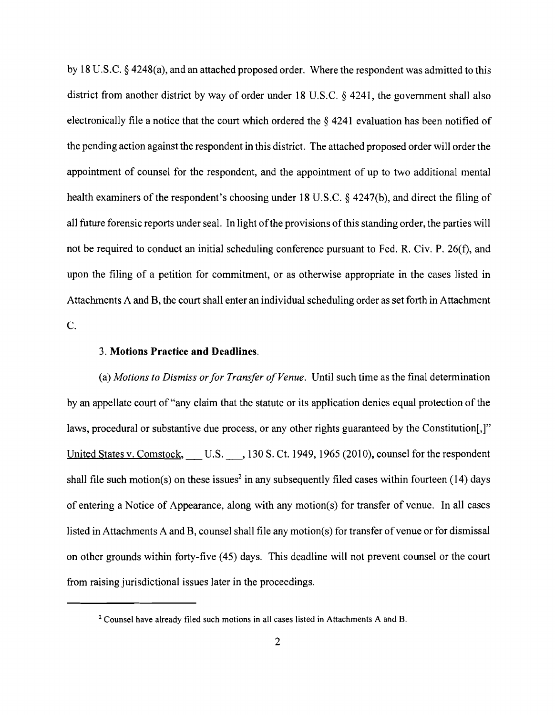by 18 U.S.c. § 4248(a), and an attached proposed order. Where the respondent was admitted to this district from another district by way of order under 18 U.S.c. § 4241, the government shall also electronically file a notice that the court which ordered the § 4241 evaluation has been notified of the pending action against the respondent in this district. The attached proposed order will order the appointment of counsel for the respondent, and the appointment of up to two additional mental health examiners of the respondent's choosing under 18 U.S.C.  $\S$  4247(b), and direct the filing of all future forensic reports under seal. In light of the provisions of this standing order, the parties will not be required to conduct an initial scheduling conference pursuant to Fed. R. Civ. P. 26(f), and upon the filing of a petition for commitment, or as otherwise appropriate in the cases listed in Attachments A and B, the court shall enter an individual scheduling order as set forth in Attachment C.

#### 3. **Motions Practice and Deadlines.**

(a) *Motions to Dismiss orfor Transfer ofVenue.* Until such time as the final determination by an appellate court of "any claim that the statute or its application denies equal protection of the laws, procedural or substantive due process, or any other rights guaranteed by the Constitution[,]" United States v. Comstock, U.S. , 130 S. Ct. 1949, 1965 (2010), counsel for the respondent shall file such motion(s) on these issues<sup>2</sup> in any subsequently filed cases within fourteen (14) days of entering a Notice of Appearance, along with any motion(s) for transfer of venue. In all cases listed in Attachments A and B, counsel shall file any motion(s) for transfer of venue or for dismissal on other grounds within forty-five (45) days. This deadline will not prevent counselor the court from raising jurisdictional issues later in the proceedings.

<sup>2</sup> Counsel have already filed such motions in all cases listed in Attachments A and B.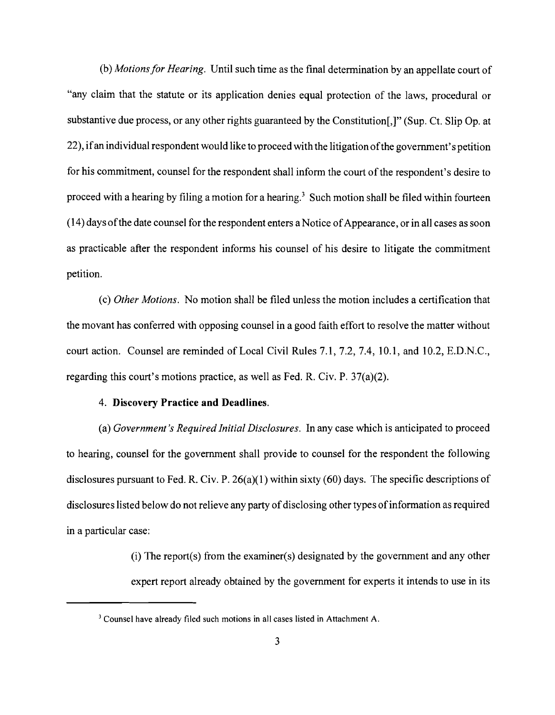(b) *Motionsfor Hearing.* Until such time as the final determination by an appellate court of "any claim that the statute or its application denies equal protection of the laws, procedural or substantive due process, or any other rights guaranteed by the Constitution[,]" (Sup. Ct. Slip Op. at 22), ifan individual respondent would like to proceed with the litigation ofthe government's petition for his commitment, counsel for the respondent shall inform the court of the respondent's desire to proceed with a hearing by filing a motion for a hearing.<sup>3</sup> Such motion shall be filed within fourteen  $(14)$  days of the date counsel for the respondent enters a Notice of Appearance, or in all cases as soon as practicable after the respondent informs his counsel of his desire to litigate the commitment petition.

(c) *Other Motions.* No motion shall be filed unless the motion includes a certification that the movant has conferred with opposing counsel in a good faith effort to resolve the matter without court action. Counsel are reminded of Local Civil Rules 7.1,7.2,7.4,10.1, and 10.2, E.D.N.C., regarding this court's motions practice, as well as Fed. R. Civ. P. 37(a)(2).

#### 4. **Discovery Practice and Deadlines.**

(a) *Government's Required Initial Disclosures.* In any case which is anticipated to proceed to hearing, counsel for the government shall provide to counsel for the respondent the following disclosures pursuant to Fed. R. Civ. P. 26(a)(1) within sixty (60) days. The specific descriptions of disclosures listed below do not relieve any party of disclosing other types of information as required in a particular case:

> (i) The report(s) from the examiner(s) designated by the government and any other expert report already obtained by the government for experts it intends to use in its

<sup>&</sup>lt;sup>3</sup> Counsel have already filed such motions in all cases listed in Attachment A.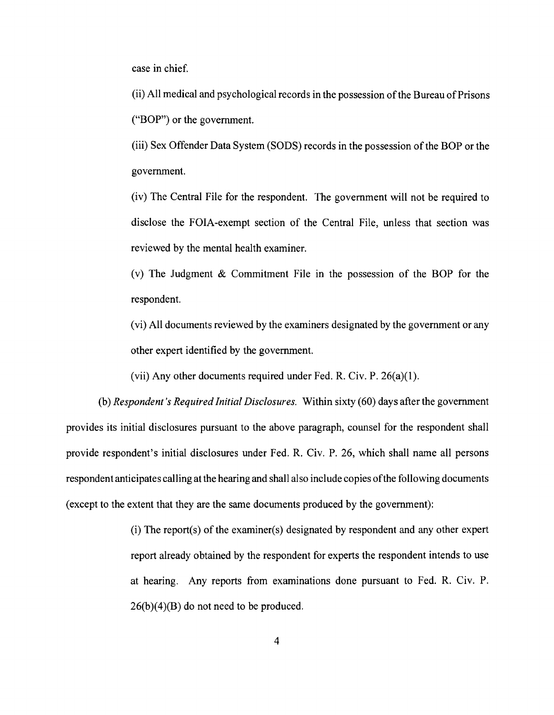case in chief.

(ii) All medical and psychological records in the possession of the Bureau of Prisons ("BOP") or the government.

(iii) Sex Offender Data System (SODS) records in the possession of the BOP or the government.

(iv) The Central File for the respondent. The government will not be required to disclose the FOIA-exempt section of the Central File, unless that section was reviewed by the mental health examiner.

(v) The Judgment & Commitment File in the possession of the BOP for the respondent.

(vi) All documents reviewed by the examiners designated by the government or any other expert identified by the government.

(vii) Any other documents required under Fed. R. Civ. P. 26(a)(I).

(b) *Respondent's Required Initial Disclosures.* Within sixty (60) days after the government provides its initial disclosures pursuant to the above paragraph, counsel for the respondent shall provide respondent's initial disclosures under Fed. R. Civ. P. 26, which shall name all persons respondent anticipates calling at the hearing and shall also include copies ofthe following documents (except to the extent that they are the same documents produced by the government):

> (i) The report(s) of the examiner(s) designated by respondent and any other expert report already obtained by the respondent for experts the respondent intends to use at hearing. Any reports from examinations done pursuant to Fed. R. Civ. P.  $26(b)(4)(B)$  do not need to be produced.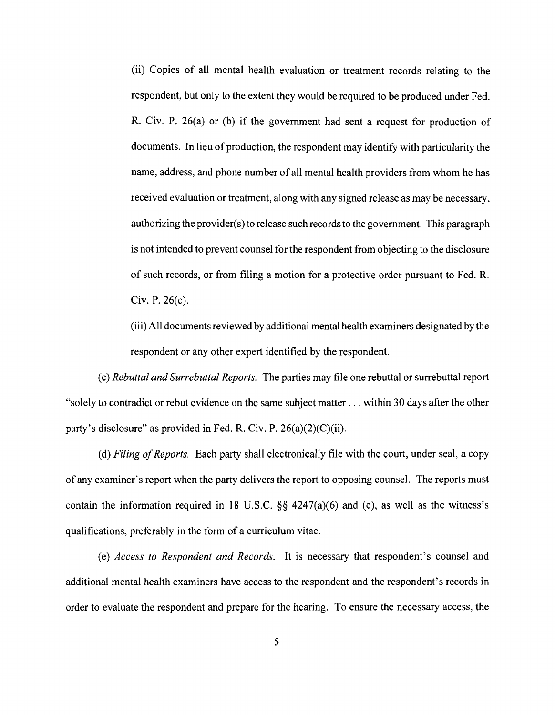(ii) Copies of all mental health evaluation or treatment records relating to the respondent, but only to the extent they would be required to be produced under Fed. R. Civ. P. 26(a) or (b) if the government had sent a request for production of documents. In lieu of production, the respondent may identify with particularity the name, address, and phone number of all mental health providers from whom he has received evaluation or treatment, along with any signed release as may be necessary, authorizing the provider(s) to release such recordsto the government. This paragraph is not intended to prevent counsel for the respondent from objecting to the disclosure of such records, or from filing a motion for a protective order pursuant to Fed. R. Civ. P. 26(c).

(iii) All documents reviewed by additional mental health examiners designated by the respondent or any other expert identified by the respondent.

(c) *Rebuttal and Surrebuttal Reports.* The parties may file one rebuttal or surrebuttal report "solely to contradict or rebut evidence on the same subject matter ... within 30 days after the other party's disclosure" as provided in Fed. R. Civ. P.  $26(a)(2)(C)(ii)$ .

(d) *Filing of Reports.* Each party shall electronically file with the court, under seal, a copy of any examiner's report when the party delivers the report to opposing counsel. The reports must contain the information required in 18 U.S.C.  $\S$  4247(a)(6) and (c), as well as the witness's qualifications, preferably in the form of a curriculum vitae.

(e) *Access to Respondent and Records.* It is necessary that respondent's counsel and additional mental health examiners have access to the respondent and the respondent's records in order to evaluate the respondent and prepare for the hearing. To ensure the necessary access, the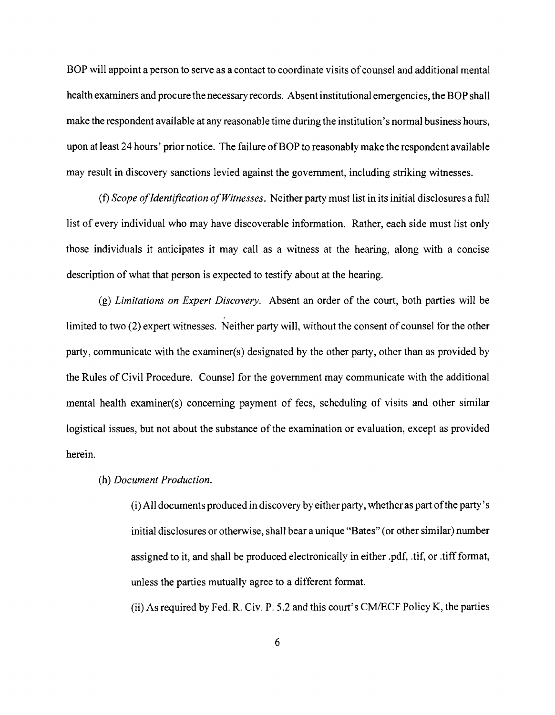BOP will appoint a person to serve as a contact to coordinate visits of counsel and additional mental health examiners and procure the necessary records. Absent institutional emergencies, the BOP shall make the respondent available at any reasonable time during the institution's normal business hours, upon at least 24 hours' prior notice. The failure of BOP to reasonably make the respondent available may result in discovery sanctions levied against the government, including striking witnesses.

(f) *Scope ofIdentification ofWitnesses.* Neither party must list in its initial disclosures a full list of every individual who may have discoverable information. Rather, each side must list only those individuals it anticipates it may call as a witness at the hearing, along with a concise description of what that person is expected to testify about at the hearing.

(g) *Limitations on Expert Discovery.* Absent an order of the court, both parties will be limited to two (2) expert witnesses. Neither party will, without the consent of counsel for the other party, communicate with the examiner(s) designated by the other party, other than as provided by the Rules of Civil Procedure. Counsel for the government may communicate with the additional mental health examiner(s) concerning payment of fees, scheduling of visits and other similar logistical issues, but not about the substance of the examination or evaluation, except as provided herein.

### (h) *Document Production.*

(i) All documents produced in discovery by either party, whether as part ofthe party's initial disclosures or otherwise, shall bear a unique "Bates" (or other similar) number assigned to it, and shall be produced electronically in either .pdf, .tif, or .tiff format, unless the parties mutually agree to a different format.

(ii) As required by Fed. R. Civ. P. 5.2 and this court's *CM/ECF* Policy K, the parties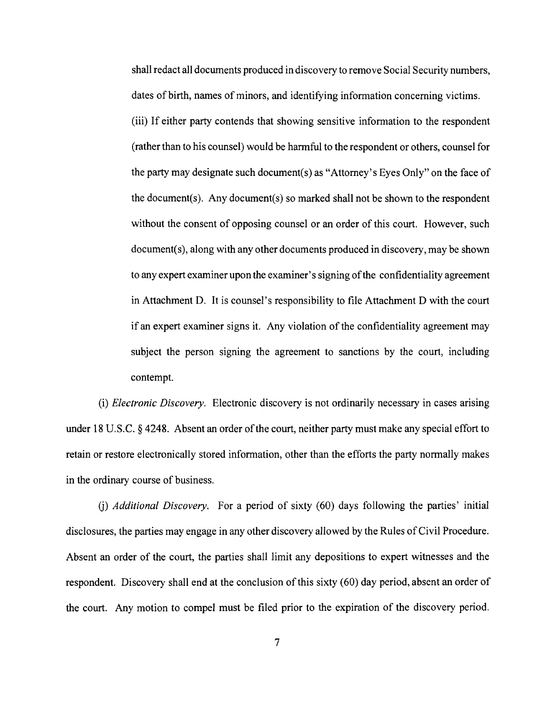shall redact all documents produced in discovery to remove Social Security numbers, dates of birth, names of minors, and identifying information concerning victims. (iii) If either party contends that showing sensitive information to the respondent (rather than to his counsel) would be harmful to the respondent or others, counsel for the party may designate such document(s) as "Attorney's Eyes Only" on the face of the document(s). Any document(s) so marked shall not be shown to the respondent without the consent of opposing counsel or an order of this court. However, such document(s), along with any other documents produced in discovery, may be shown to any expert examiner upon the examiner's signing of the confidentiality agreement in Attachment D. It is counsel's responsibility to file Attachment D with the court if an expert examiner signs it. Any violation ofthe confidentiality agreement may subject the person signing the agreement to sanctions by the court, including contempt.

(i) *Electronic Discovery.* Electronic discovery is not ordinarily necessary in cases arising under 18 U.S.C.  $\S$  4248. Absent an order of the court, neither party must make any special effort to retain or restore electronically stored information, other than the efforts the party normally makes in the ordinary course of business.

0) *Additional Discovery.* For a period of sixty (60) days following the parties' initial disclosures, the parties may engage in any other discovery allowed by the Rules ofCivil Procedure. Absent an order of the court, the parties shall limit any depositions to expert witnesses and the respondent. Discovery shall end at the conclusion of this sixty (60) day period, absent an order of the court. Any motion to compel must be filed prior to the expiration of the discovery period.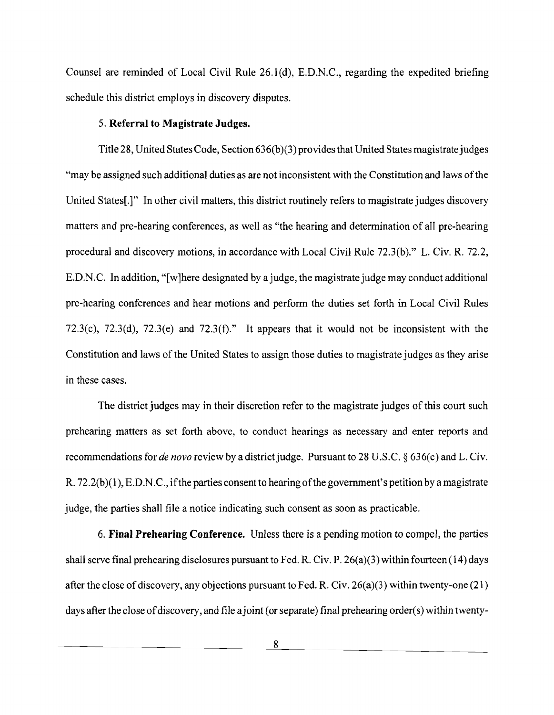Counsel are reminded of Local Civil Rule 26.l(d), E.D.N.C., regarding the expedited briefing schedule this district employs in discovery disputes.

### 5. **Referral to Magistrate Judges.**

Title 28, United StatesCode, Section 636(b)(3) providesthat United States magistrate judges "may be assigned such additional duties as are not inconsistent with the Constitution and laws ofthe United States[.]" In other civil matters, this district routinely refers to magistrate judges discovery matters and pre-hearing conferences, as well as "the hearing and determination of all pre-hearing procedural and discovery motions, in accordance with Local Civil Rule  $72.3(b)$ ." L. Civ. R.  $72.2$ , E.D.N.C. In addition, "[w]here designated by a judge, the magistrate judge may conduct additional pre-hearing conferences and hear motions and perform the duties set forth in Local Civil Rules 72.3(c), 72.3(d), 72.3(e) and 72.3(f)." It appears that it would not be inconsistent with the Constitution and laws of the United States to assign those duties to magistrate judges as they arise in these cases.

The district judges may in their discretion refer to the magistrate judges of this court such prehearing matters as set forth above, to conduct hearings as necessary and enter reports and recommendations for *de novo* review by a district judge. Pursuant to 28 U.S.C. § 636(c) and L. Civ. R.  $72.2(b)(1)$ , E.D.N.C., if the parties consent to hearing of the government's petition by a magistrate judge, the parties shall file a notice indicating such consent as soon as practicable.

6. **Final Prehearing Conference.** Unless there is a pending motion to compel, the parties shall serve final prehearing disclosures pursuant to Fed. R. Civ. P. 26(a)(3) within fourteen (14) days after the close of discovery, any objections pursuant to Fed. R. Civ. 26(a)(3) within twenty-one (21) days after the close of discovery, and file a joint (or separate) final prehearing order(s) within twenty-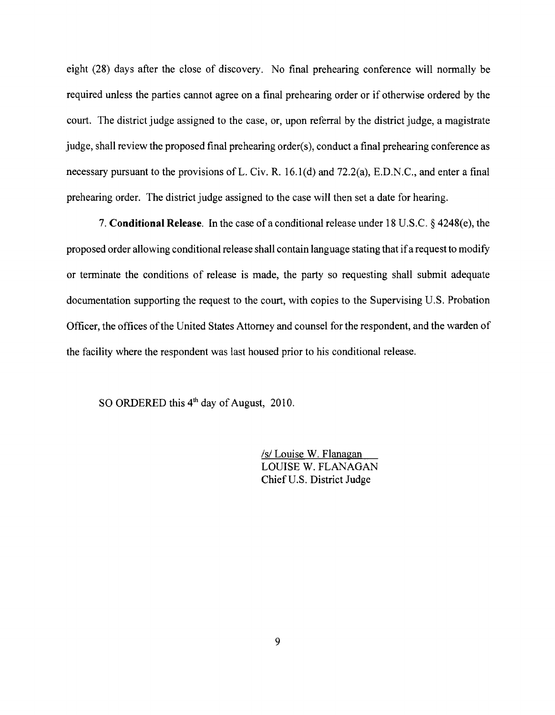eight (28) days after the close of discovery. No final prehearing conference will normally be required unless the parties cannot agree on a final prehearing order or if otherwise ordered by the court. The district judge assigned to the case, or, upon referral by the district judge, a magistrate judge, shall review the proposed final prehearing order(s), conduct a final prehearing conference as necessary pursuant to the provisions of L. Civ. R. 16.1(d) and 72.2(a), E.D.N.C., and enter a final prehearing order. The district judge assigned to the case will then set a date for hearing.

7. **Conditional Release. In** the case of a conditional release under 18 U.S.C. § 4248(e), the proposed order allowing conditional release shall contain language stating that ifa request to modify or terminate the conditions of release is made, the party so requesting shall submit adequate documentation supporting the request to the court, with copies to the Supervising U.S. Probation Officer, the offices of the United States Attorney and counsel for the respondent, and the warden of the facility where the respondent was last housed prior to his conditional release.

SO ORDERED this 4<sup>th</sup> day of August, 2010.

/s/ Louise W. Flanagan LOUISE W. FLANAGAN Chief U.S. District Judge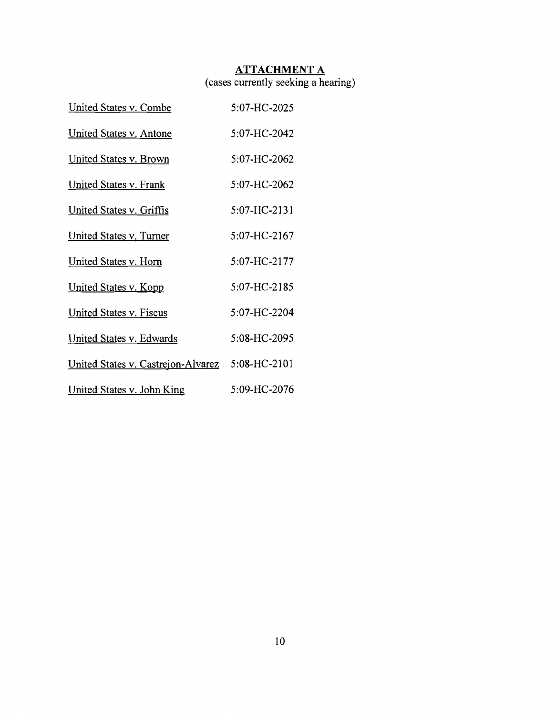### **ATTACHMENT A**

(cases currently seeking a hearing)

| <b>United States v. Combe</b>      | 5:07-HC-2025 |
|------------------------------------|--------------|
| United States v. Antone            | 5:07-HC-2042 |
| <b>United States v. Brown</b>      | 5:07-HC-2062 |
| United States v. Frank             | 5:07-HC-2062 |
| <u>United States v. Griffis</u>    | 5:07-HC-2131 |
| <b>United States v. Turner</b>     | 5:07-HC-2167 |
| <b>United States v. Horn</b>       | 5:07-HC-2177 |
| United States v. Kopp              | 5:07-HC-2185 |
| <b>United States v. Fiscus</b>     | 5:07-HC-2204 |
| United States v. Edwards           | 5:08-HC-2095 |
| United States v. Castrejon-Alvarez | 5:08-HC-2101 |
| United States v. John King         | 5:09-HC-2076 |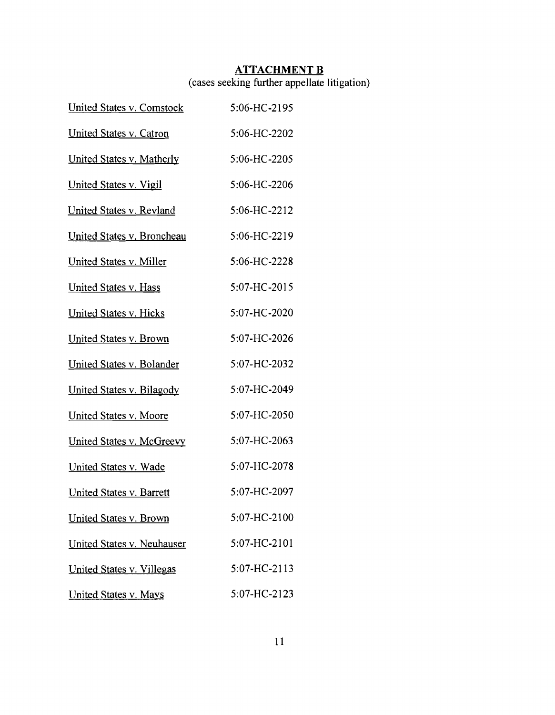## **ATTACHMENT B**

### (cases seeking further appellate litigation)

| <b>United States v. Comstock</b> | 5:06-HC-2195 |
|----------------------------------|--------------|
| <b>United States v. Catron</b>   | 5:06-HC-2202 |
| United States v. Matherly        | 5:06-HC-2205 |
| <u>United States v. Vigil</u>    | 5:06-HC-2206 |
| <b>United States v. Revland</b>  | 5:06-HC-2212 |
| United States v. Broncheau       | 5:06-HC-2219 |
| United States v. Miller          | 5:06-HC-2228 |
| <b>United States v. Hass</b>     | 5:07-HC-2015 |
| United States v. Hicks           | 5:07-HC-2020 |
| United States v. Brown           | 5:07-HC-2026 |
| United States v. Bolander        | 5:07-HC-2032 |
| United States v. Bilagody        | 5:07-HC-2049 |
| <b>United States v. Moore</b>    | 5:07-HC-2050 |
| United States v. McGreevy        | 5:07-HC-2063 |
| United States v. Wade            | 5:07-HC-2078 |
| United States v. Barrett         | 5:07-HC-2097 |
| United States v. Brown           | 5:07-HC-2100 |
| United States v. Neuhauser       | 5:07-HC-2101 |
| United States v. Villegas        | 5:07-HC-2113 |
| <b>United States v. Mays</b>     | 5:07-HC-2123 |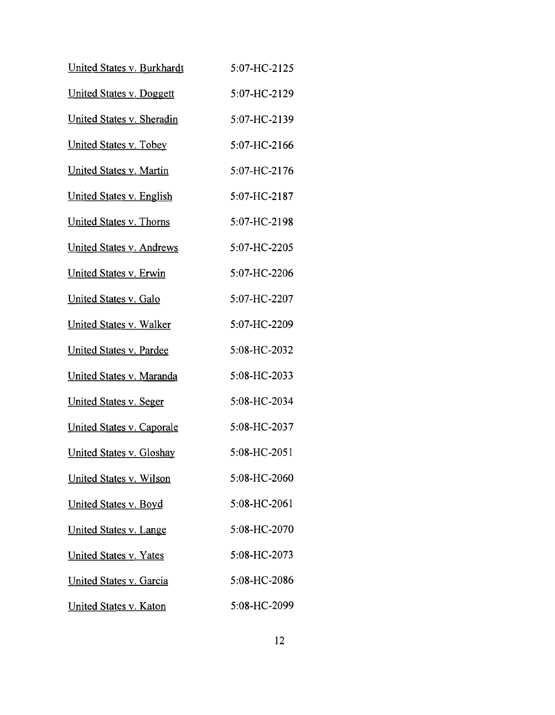| United States v. Burkhardt              | 5:07-HC-2125 |
|-----------------------------------------|--------------|
| United States v. Doggett                | 5:07-HC-2129 |
| United States v. Sheradin               | 5:07-HC-2139 |
| <b>United States v. Tobey</b>           | 5:07-HC-2166 |
| <u>United States v. Martin</u>          | 5:07-HC-2176 |
| <u><b>United States v. English</b></u>  | 5:07-HC-2187 |
| <u>United States v. Thorns</u>          | 5:07-HC-2198 |
| United States v. Andrews                | 5:07-HC-2205 |
| United States v. Erwin                  | 5:07-HC-2206 |
| United States v. Galo                   | 5:07-HC-2207 |
| United States v. Walker                 | 5:07-HC-2209 |
| United States v. Pardee                 | 5:08-HC-2032 |
| <u> United States v. Maranda</u>        | 5:08-HC-2033 |
| <b>United States v. Seger</b>           | 5:08-HC-2034 |
| <u><b>United States v. Caporale</b></u> | 5:08-HC-2037 |
| United States v. Gloshay                | 5:08-HC-2051 |
| <u>United States v. Wilson</u>          | 5:08-HC-2060 |
| <b>United States v. Boyd</b>            | 5:08-HC-2061 |
| <u>United States v. Lange</u>           | 5:08-HC-2070 |
| <b>United States v. Yates</b>           | 5:08-HC-2073 |
| United States v. Garcia                 | 5:08-HC-2086 |
| <b>United States v. Katon</b>           | 5:08-HC-2099 |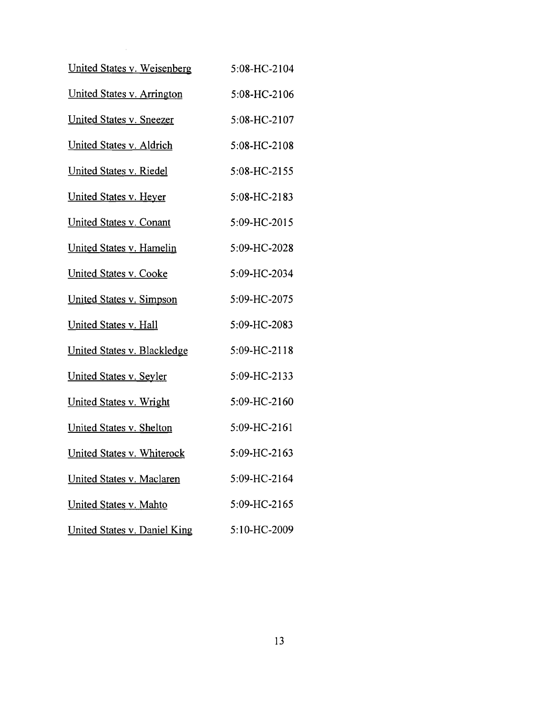| United States v. Weisenberg         | 5:08-HC-2104 |
|-------------------------------------|--------------|
| United States v. Arrington          | 5:08-HC-2106 |
| <u>United States v. Sneezer</u>     | 5:08-HC-2107 |
| United States v. Aldrich            | 5:08-HC-2108 |
| <u>United States v. Riedel</u>      | 5:08-HC-2155 |
| <u>United States v. Heyer</u>       | 5:08-HC-2183 |
| <u>United States v. Conant</u>      | 5:09-HC-2015 |
| United States v. Hamelin            | 5:09-HC-2028 |
| <u>United States v. Cooke</u>       | 5:09-HC-2034 |
| <u>United States v. Simpson</u>     | 5:09-HC-2075 |
| United States v. Hall               | 5:09-HC-2083 |
| United States v. Blackledge         | 5:09-HC-2118 |
| United States v. Seyler             | 5:09-HC-2133 |
| <u> United States v. Wright</u>     | 5:09-HC-2160 |
| United States v. Shelton            | 5:09-HC-2161 |
| United States v. Whiterock          | 5:09-HC-2163 |
| United States v. Maclaren           | 5:09-HC-2164 |
| <u>United States v. Mahto</u>       | 5:09-HC-2165 |
| <b>United States v. Daniel King</b> | 5:10-HC-2009 |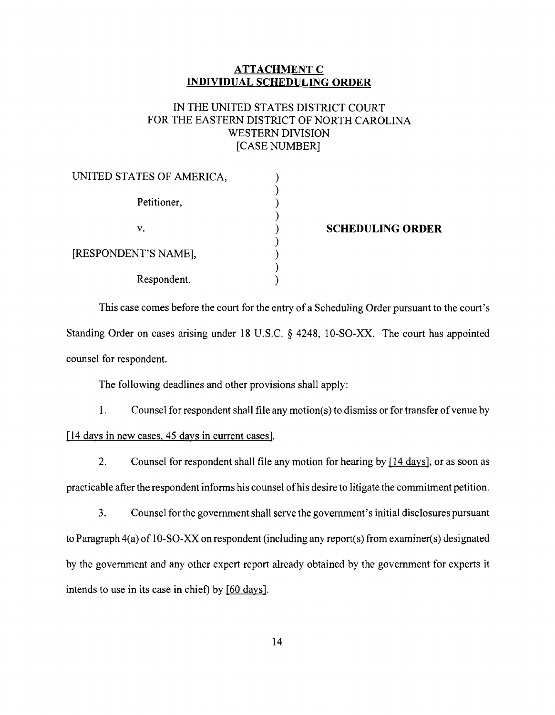### ATTACHMENT C INDIVIDUAL SCHEDULING ORDER

## IN THE UNITED STATES DISTRICT COURT FOR THE EASTERN DISTRICT OF NORTH CAROLINA WESTERN DIVISION [CASE NUMBER]

| UNITED STATES OF AMERICA, |  |
|---------------------------|--|
|                           |  |
| Petitioner,               |  |
|                           |  |
| V.                        |  |
|                           |  |
| [RESPONDENT'S NAME],      |  |
|                           |  |
| Respondent.               |  |

#### SCHEDULING ORDER

This case comes before the court for the entry of a Scheduling Order pursuant to the court's Standing Order on cases arising under 18 U.S.C. § 4248, IO-SO-XX. The court has appointed counsel for respondent.

The following deadlines and other provisions shall apply:

1. Counsel for respondent shall file any motion(s) to dismiss or for transfer of venue by [14 days in new cases, 45 days in current cases].

2. Counsel for respondent shall file any motion for hearing by [14 days], or as soon as practicable after the respondent informs his counsel ofhis desire to litigate the commitment petition.

3. Counsel for the government shall serve the government's initial disclosures pursuant to Paragraph 4(a) of 1O-SO-XX on respondent (including any report(s) from examiner(s) designated by the government and any other expert report already obtained by the government for experts it intends to use in its case in chief) by [60 days].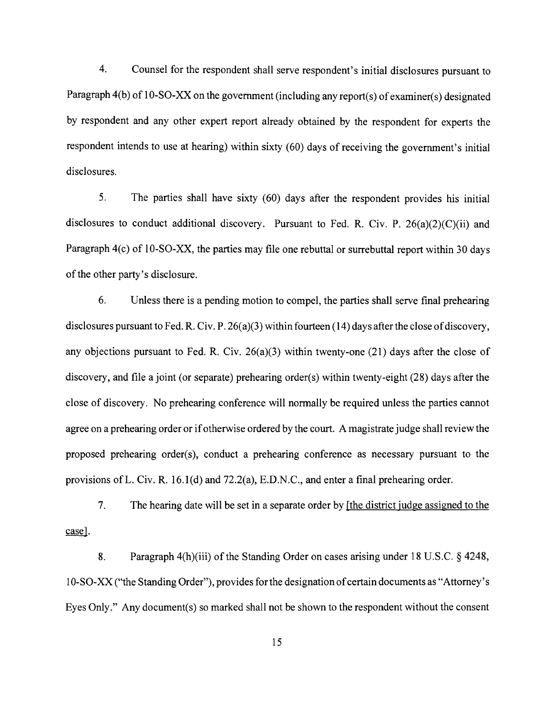4. Counsel for the respondent shall serve respondent's initial disclosures pursuant to Paragraph 4(b) of 1O-SO-XX on the government (including any report(s) ofexaminer(s) designated by respondent and any other expert report already obtained by the respondent for experts the respondent intends to use at hearing) within sixty (60) days of receiving the government's initial disclosures.

5. The parties shall have sixty (60) days after the respondent provides his initial disclosures to conduct additional discovery. Pursuant to Fed. R. Civ. P. 26(a)(2)(C)(ii) and Paragraph 4(c) of 10-SO-XX, the parties may file one rebuttal or surrebuttal report within 30 days of the other party's disclosure.

6. Unless there is a pending motion to compel, the parties shall serve final prehearing disclosures pursuant to Fed. R. Civ. P. 26(a)(3) within fourteen (14) days after the close of discovery, any objections pursuant to Fed. R. Civ.  $26(a)(3)$  within twenty-one (21) days after the close of discovery, and file a joint (or separate) prehearing order(s) within twenty-eight (28) days after the close of discovery. No prehearing conference will normally be required unless the parties cannot agree on a prehearing order or ifotherwise ordered by the court. A magistrate judge shall review the proposed prehearing order(s), conduct a prehearing conference as necessary pursuant to the provisions of L. Civ. R. 16.1(d) and 72.2(a), E.D.N.C., and enter a final prehearing order.

7. The hearing date will be set in a separate order by [the district judge assigned to the case].

8. Paragraph  $4(h)(iii)$  of the Standing Order on cases arising under 18 U.S.C. § 4248, 10-SO-XX ("the Standing Order"), provides for the designation of certain documents as "Attorney's Eyes Only." Any document(s) so marked shall not be shown to the respondent without the consent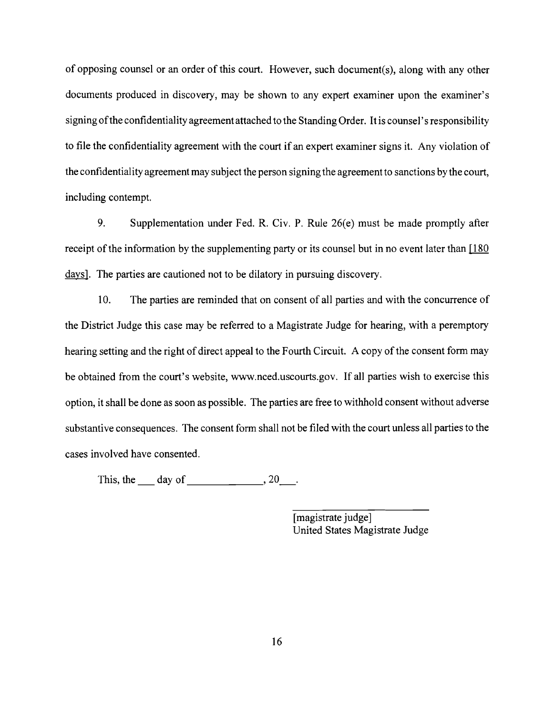of opposing counsel or an order of this court. However, such document(s), along with any other documents produced in discovery, may be shown to any expert examiner upon the examiner's signing of the confidentiality agreement attached to the Standing Order. It is counsel's responsibility to file the confidentiality agreement with the court if an expert examiner signs it. Any violation of the confidentiality agreement may subject the person signing the agreement to sanctions by the court, including contempt.

9. Supplementation under Fed. R. Civ. P. Rule 26(e) must be made promptly after receipt of the information by the supplementing party or its counsel but in no event later than  $[180]$ days]. The parties are cautioned not to be dilatory in pursuing discovery.

10. The parties are reminded that on consent of all parties and with the concurrence of the District Judge this case may be referred to a Magistrate Judge for hearing, with a peremptory hearing setting and the right of direct appeal to the Fourth Circuit. A copy of the consent form may be obtained from the court's website, www.nced.uscourts.gov. If all parties wish to exercise this option, it shall be done as soon as possible. The parties are free to withhold consent without adverse substantive consequences. The consent form shall not be filed with the court unless all parties to the cases involved have consented.

This, the day of  $\qquad \qquad .20$ .

[magistrate judge] United States Magistrate Judge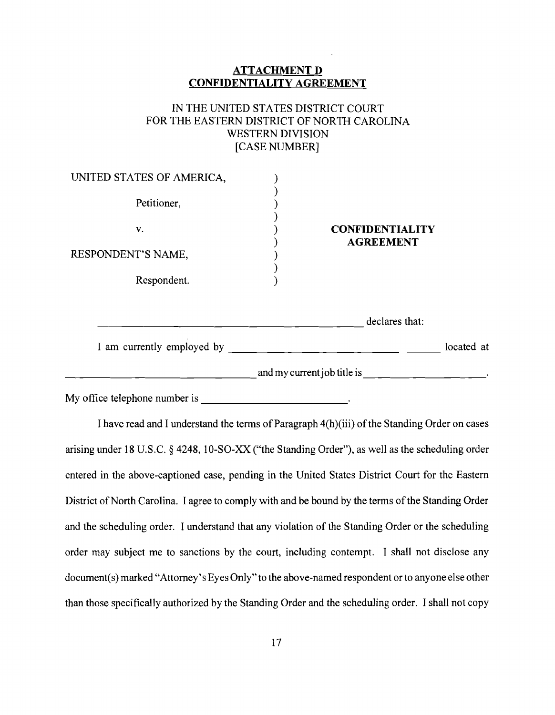# **ATTACHMENT D CONFIDENTIALITY AGREEMENT** IN THE UNITED STATES DISTRICT COURT FOR THE EASTERN DISTRICT OF NORTH CAROLINA WESTERN DIVISION [CASE NUMBER] UNITED STATES OF AMERICA, Petitioner, v. RESPONDENT'S NAME, Respondent. ) ) ) ) ) ) ) ) ) **CONFIDENTIALITY AGREEMENT**  $\frac{1}{\sqrt{1-\frac{1}{\sqrt{1-\frac{1}{\sqrt{1-\frac{1}{\sqrt{1-\frac{1}{\sqrt{1-\frac{1}{\sqrt{1-\frac{1}{\sqrt{1-\frac{1}{\sqrt{1-\frac{1}{\sqrt{1-\frac{1}{\sqrt{1-\frac{1}{\sqrt{1-\frac{1}{\sqrt{1-\frac{1}{\sqrt{1-\frac{1}{\sqrt{1-\frac{1}{\sqrt{1-\frac{1}{\sqrt{1-\frac{1}{\sqrt{1-\frac{1}{\sqrt{1-\frac{1}{\sqrt{1-\frac{1}{\sqrt{1-\frac{1}{\sqrt{1-\frac{1}{\sqrt{1-\frac{1}{\sqrt{1-\frac{1}{\sqrt{1-\frac{1$ I am currently employed by located at located at and my current job title is  $\qquad \qquad \qquad \qquad \qquad$

My office telephone number is  $\qquad \qquad \qquad$ 

I have read and I understand the terms of Paragraph 4(h)(iii) of the Standing Order on cases arising under 18 U.S.C. § 4248, 1O-SO-XX ("the Standing Order"), as well as the scheduling order entered in the above-captioned case, pending in the United States District Court for the Eastern District of North Carolina. I agree to comply with and be bound by the terms of the Standing Order and the scheduling order. I understand that any violation of the Standing Order or the scheduling order may subject me to sanctions by the court, including contempt. I shall not disclose any document(s) marked "Attorney's Eyes Only" to the above-named respondent or to anyone else other than those specifically authorized by the Standing Order and the scheduling order. I shall not copy